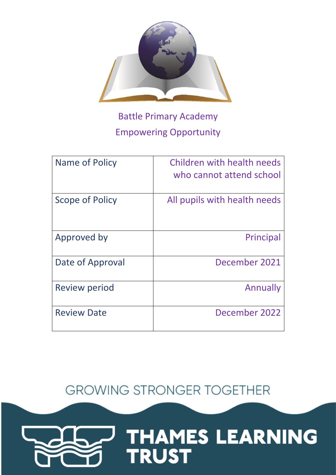

# Battle Primary Academy Empowering Opportunity

| Name of Policy       | Children with health needs<br>who cannot attend school |
|----------------------|--------------------------------------------------------|
| Scope of Policy      | All pupils with health needs                           |
| Approved by          | Principal                                              |
| Date of Approval     | December 2021                                          |
| <b>Review period</b> | Annually                                               |
| <b>Review Date</b>   | December 2022                                          |

**GROWING STRONGER TOGETHER** 

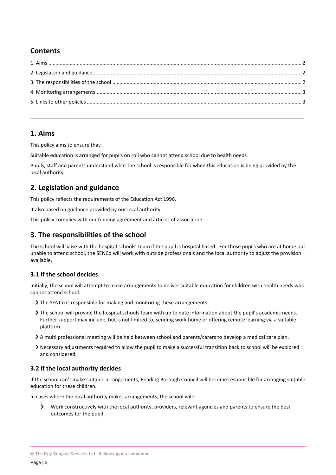# **Contents**

## <span id="page-1-0"></span>**1. Aims**

This policy aims to ensure that:

Suitable education is arranged for pupils on roll who cannot attend school due to health needs

Pupils, staff and parents understand what the school is responsible for when this education is being provided by the local authority

## <span id="page-1-1"></span>**2. Legislation and guidance**

This policy reflects the requirements of the [Education Act 1996.](http://www.legislation.gov.uk/ukpga/1996/56/section/19)

It also based on guidance provided by our local authority.

This policy complies with our funding agreement and articles of association.

## <span id="page-1-2"></span>**3. The responsibilities of the school**

The school will liaise with the hospital schools' team if the pupil is hospital based. For those pupils who are at home but unable to attend school, the SENCo will work with outside professionals and the local authority to adjust the provision available.

### **3.1 If the school decides**

Initially, the school will attempt to make arrangements to deliver suitable education for children with health needs who cannot attend school.

- > The SENCo is responsible for making and monitoring these arrangements.
- The school will provide the hospital schools team with up to date information about the pupil's academic needs. Further support may include, but is not limited to, sending work home or offering remote learning via a suitable platform.
- A multi professional meeting will be held between school and parents/carers to develop a medical care plan.
- Necessary adjustments required to allow the pupil to make a successful transition back to school will be explored and considered.

### **3.2 If the local authority decides**

If the school can't make suitable arrangements, Reading Borough Council will become responsible for arranging suitable education for these children.

In cases where the local authority makes arrangements, the school will:

 $\sum$ Work constructively with the local authority, providers, relevant agencies and parents to ensure the best outcomes for the pupil

<sup>©</sup> The Key Support Services Ltd | [thekeysupport.com/terms](https://thekeysupport.com/terms-of-use)